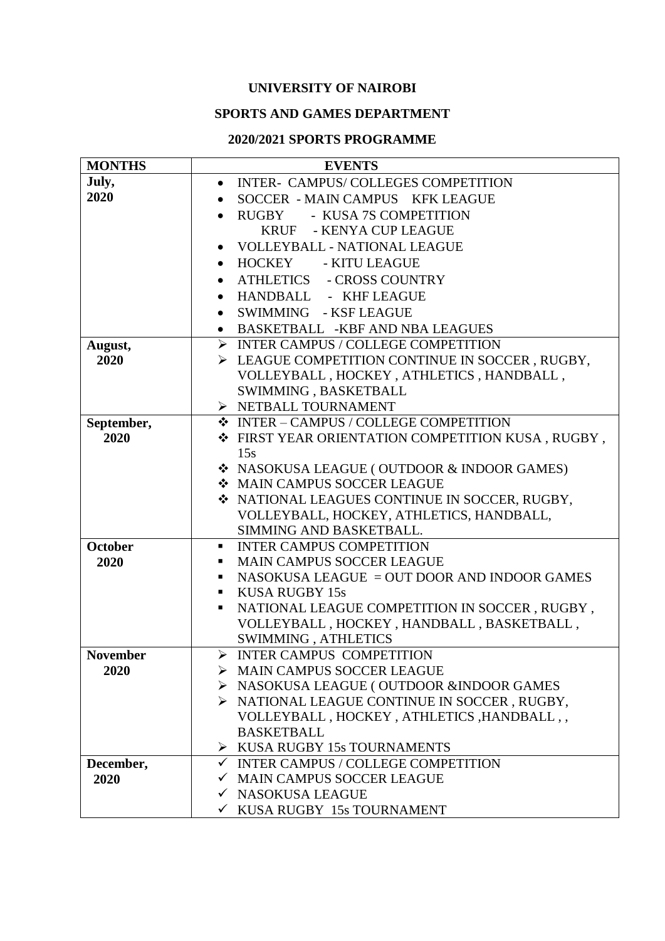## **UNIVERSITY OF NAIROBI**

### **SPORTS AND GAMES DEPARTMENT**

#### **2020/2021 SPORTS PROGRAMME**

| <b>MONTHS</b>   | <b>EVENTS</b>                                                                  |  |  |  |
|-----------------|--------------------------------------------------------------------------------|--|--|--|
| July,           | INTER- CAMPUS/COLLEGES COMPETITION<br>$\bullet$                                |  |  |  |
| 2020            | SOCCER - MAIN CAMPUS KFK LEAGUE                                                |  |  |  |
|                 | RUGBY - KUSA 7S COMPETITION<br>$\bullet$                                       |  |  |  |
|                 | KRUF - KENYA CUP LEAGUE                                                        |  |  |  |
|                 | <b>VOLLEYBALL - NATIONAL LEAGUE</b>                                            |  |  |  |
|                 | HOCKEY - KITU LEAGUE<br>$\bullet$                                              |  |  |  |
|                 | ATHLETICS - CROSS COUNTRY<br>$\bullet$                                         |  |  |  |
|                 | HANDBALL - KHF LEAGUE<br>$\bullet$                                             |  |  |  |
|                 | SWIMMING - KSF LEAGUE<br>$\bullet$                                             |  |  |  |
|                 | BASKETBALL -KBF AND NBA LEAGUES<br>$\bullet$                                   |  |  |  |
| August,         | $\triangleright$ INTER CAMPUS / COLLEGE COMPETITION                            |  |  |  |
| 2020            | EAGUE COMPETITION CONTINUE IN SOCCER, RUGBY,                                   |  |  |  |
|                 | VOLLEYBALL, HOCKEY, ATHLETICS, HANDBALL,                                       |  |  |  |
|                 | SWIMMING, BASKETBALL                                                           |  |  |  |
|                 | > NETBALL TOURNAMENT                                                           |  |  |  |
| September,      | ❖ INTER - CAMPUS / COLLEGE COMPETITION                                         |  |  |  |
| 2020            | ❖ FIRST YEAR ORIENTATION COMPETITION KUSA, RUGBY,                              |  |  |  |
|                 | 15s                                                                            |  |  |  |
|                 | ❖ NASOKUSA LEAGUE (OUTDOOR & INDOOR GAMES)                                     |  |  |  |
|                 | <b>* MAIN CAMPUS SOCCER LEAGUE</b>                                             |  |  |  |
|                 | ❖ NATIONAL LEAGUES CONTINUE IN SOCCER, RUGBY,                                  |  |  |  |
|                 | VOLLEYBALL, HOCKEY, ATHLETICS, HANDBALL,                                       |  |  |  |
|                 | SIMMING AND BASKETBALL.                                                        |  |  |  |
| <b>October</b>  | <b>INTER CAMPUS COMPETITION</b><br>٠                                           |  |  |  |
| 2020            | <b>MAIN CAMPUS SOCCER LEAGUE</b><br>٠                                          |  |  |  |
|                 | NASOKUSA LEAGUE = OUT DOOR AND INDOOR GAMES<br>٠<br><b>KUSA RUGBY 15s</b><br>٠ |  |  |  |
|                 | NATIONAL LEAGUE COMPETITION IN SOCCER, RUGBY,<br>٠                             |  |  |  |
|                 | VOLLEYBALL, HOCKEY, HANDBALL, BASKETBALL,                                      |  |  |  |
|                 | SWIMMING, ATHLETICS                                                            |  |  |  |
| <b>November</b> | $\blacktriangleright$<br><b>INTER CAMPUS COMPETITION</b>                       |  |  |  |
| 2020            | > MAIN CAMPUS SOCCER LEAGUE                                                    |  |  |  |
|                 | > NASOKUSA LEAGUE (OUTDOOR & INDOOR GAMES                                      |  |  |  |
|                 | > NATIONAL LEAGUE CONTINUE IN SOCCER, RUGBY,                                   |  |  |  |
|                 | VOLLEYBALL, HOCKEY, ATHLETICS, HANDBALL,                                       |  |  |  |
|                 | <b>BASKETBALL</b>                                                              |  |  |  |
|                 | $\triangleright$ KUSA RUGBY 15s TOURNAMENTS                                    |  |  |  |
| December,       | $\checkmark$ INTER CAMPUS / COLLEGE COMPETITION                                |  |  |  |
| 2020            | √ MAIN CAMPUS SOCCER LEAGUE                                                    |  |  |  |
|                 | $\checkmark$ NASOKUSA LEAGUE                                                   |  |  |  |
|                 | $\checkmark$ KUSA RUGBY 15s TOURNAMENT                                         |  |  |  |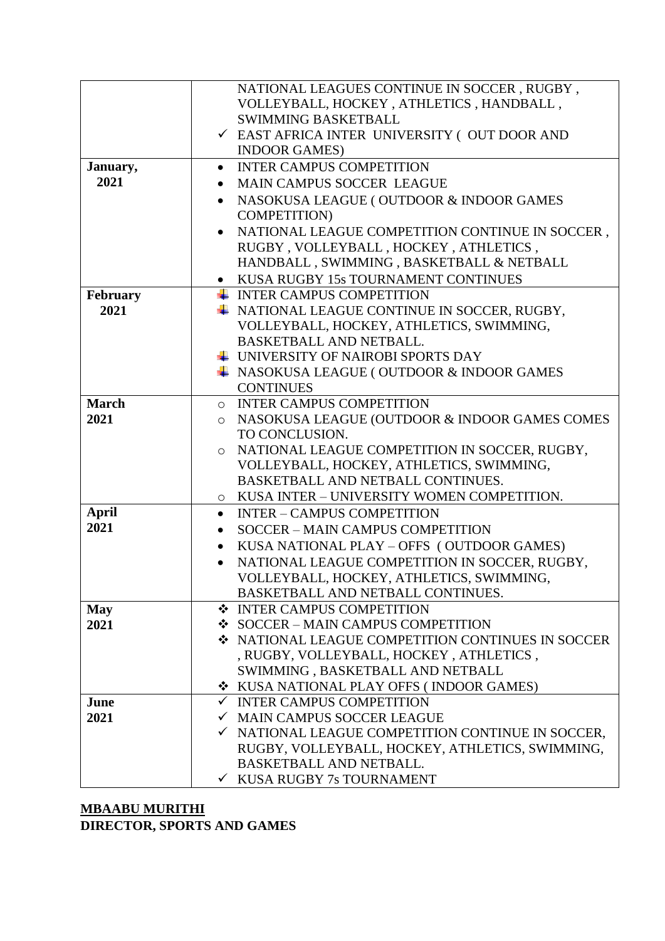|              | NATIONAL LEAGUES CONTINUE IN SOCCER, RUGBY,                  |  |  |
|--------------|--------------------------------------------------------------|--|--|
|              | VOLLEYBALL, HOCKEY, ATHLETICS, HANDBALL,                     |  |  |
|              | <b>SWIMMING BASKETBALL</b>                                   |  |  |
|              | ✓ EAST AFRICA INTER UNIVERSITY (OUT DOOR AND                 |  |  |
|              | <b>INDOOR GAMES)</b>                                         |  |  |
| January,     | <b>INTER CAMPUS COMPETITION</b><br>$\bullet$                 |  |  |
| 2021         | MAIN CAMPUS SOCCER LEAGUE<br>$\bullet$                       |  |  |
|              |                                                              |  |  |
|              | NASOKUSA LEAGUE (OUTDOOR & INDOOR GAMES<br>$\bullet$         |  |  |
|              | <b>COMPETITION)</b>                                          |  |  |
|              | NATIONAL LEAGUE COMPETITION CONTINUE IN SOCCER,              |  |  |
|              | RUGBY, VOLLEYBALL, HOCKEY, ATHLETICS,                        |  |  |
|              | HANDBALL, SWIMMING, BASKETBALL & NETBALL                     |  |  |
|              | KUSA RUGBY 15s TOURNAMENT CONTINUES                          |  |  |
| February     | ← INTER CAMPUS COMPETITION                                   |  |  |
| 2021         | + NATIONAL LEAGUE CONTINUE IN SOCCER, RUGBY,                 |  |  |
|              | VOLLEYBALL, HOCKEY, ATHLETICS, SWIMMING,                     |  |  |
|              | <b>BASKETBALL AND NETBALL.</b>                               |  |  |
|              | UNIVERSITY OF NAIROBI SPORTS DAY                             |  |  |
|              | + NASOKUSA LEAGUE (OUTDOOR & INDOOR GAMES                    |  |  |
|              | <b>CONTINUES</b>                                             |  |  |
| <b>March</b> | O INTER CAMPUS COMPETITION                                   |  |  |
| 2021         | NASOKUSA LEAGUE (OUTDOOR & INDOOR GAMES COMES<br>$\circ$     |  |  |
|              | TO CONCLUSION.                                               |  |  |
|              | NATIONAL LEAGUE COMPETITION IN SOCCER, RUGBY,<br>$\circ$     |  |  |
|              | VOLLEYBALL, HOCKEY, ATHLETICS, SWIMMING,                     |  |  |
|              | BASKETBALL AND NETBALL CONTINUES.                            |  |  |
|              | O KUSA INTER - UNIVERSITY WOMEN COMPETITION.                 |  |  |
| <b>April</b> | <b>INTER - CAMPUS COMPETITION</b><br>$\bullet$               |  |  |
| 2021         | <b>SOCCER - MAIN CAMPUS COMPETITION</b>                      |  |  |
|              | $\bullet$                                                    |  |  |
|              | KUSA NATIONAL PLAY - OFFS (OUTDOOR GAMES)<br>$\bullet$       |  |  |
|              | NATIONAL LEAGUE COMPETITION IN SOCCER, RUGBY,                |  |  |
|              | VOLLEYBALL, HOCKEY, ATHLETICS, SWIMMING,                     |  |  |
|              | BASKETBALL AND NETBALL CONTINUES.                            |  |  |
| <b>May</b>   | ❖ INTER CAMPUS COMPETITION                                   |  |  |
| 2021         | ❖ SOCCER – MAIN CAMPUS COMPETITION                           |  |  |
|              | ❖ NATIONAL LEAGUE COMPETITION CONTINUES IN SOCCER            |  |  |
|              | , RUGBY, VOLLEYBALL, HOCKEY, ATHLETICS,                      |  |  |
|              | SWIMMING, BASKETBALL AND NETBALL                             |  |  |
|              | ❖ KUSA NATIONAL PLAY OFFS (INDOOR GAMES)                     |  |  |
| June         | $\checkmark$ INTER CAMPUS COMPETITION                        |  |  |
| 2021         | √ MAIN CAMPUS SOCCER LEAGUE                                  |  |  |
|              | $\checkmark$ NATIONAL LEAGUE COMPETITION CONTINUE IN SOCCER, |  |  |
|              | RUGBY, VOLLEYBALL, HOCKEY, ATHLETICS, SWIMMING,              |  |  |
|              | <b>BASKETBALL AND NETBALL.</b>                               |  |  |
|              | $\checkmark$ KUSA RUGBY 7s TOURNAMENT                        |  |  |
|              |                                                              |  |  |

## **MBAABU MURITHI DIRECTOR, SPORTS AND GAMES**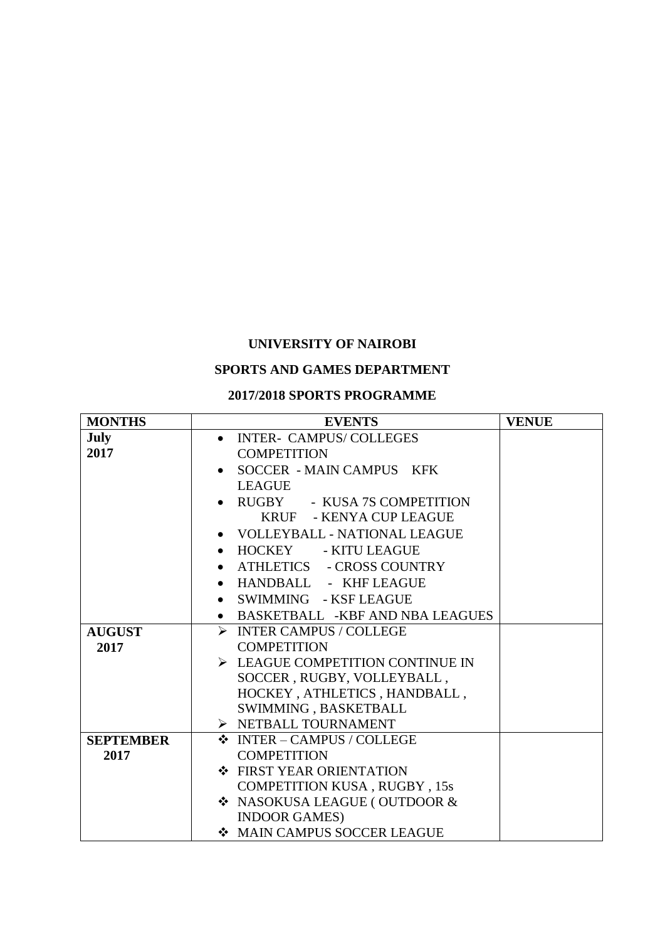# **UNIVERSITY OF NAIROBI**

# **SPORTS AND GAMES DEPARTMENT**

#### **2017/2018 SPORTS PROGRAMME**

| <b>MONTHS</b>    | <b>EVENTS</b>                                   | <b>VENUE</b> |
|------------------|-------------------------------------------------|--------------|
| <b>July</b>      | <b>INTER- CAMPUS/COLLEGES</b>                   |              |
| 2017             | <b>COMPETITION</b>                              |              |
|                  | SOCCER - MAIN CAMPUS KFK<br>$\bullet$           |              |
|                  | <b>LEAGUE</b>                                   |              |
|                  | RUGBY - KUSA 7S COMPETITION                     |              |
|                  | KRUF - KENYA CUP LEAGUE                         |              |
|                  | VOLLEYBALL - NATIONAL LEAGUE                    |              |
|                  | HOCKEY - KITU LEAGUE<br>$\bullet$               |              |
|                  | ATHLETICS - CROSS COUNTRY                       |              |
|                  | HANDBALL - KHF LEAGUE                           |              |
|                  | SWIMMING - KSF LEAGUE<br>$\bullet$              |              |
|                  | BASKETBALL -KBF AND NBA LEAGUES<br>$\bullet$    |              |
| <b>AUGUST</b>    | > INTER CAMPUS / COLLEGE                        |              |
| 2017             | <b>COMPETITION</b>                              |              |
|                  | $\triangleright$ LEAGUE COMPETITION CONTINUE IN |              |
|                  | SOCCER, RUGBY, VOLLEYBALL,                      |              |
|                  | HOCKEY, ATHLETICS, HANDBALL,                    |              |
|                  | SWIMMING, BASKETBALL                            |              |
|                  | > NETBALL TOURNAMENT                            |              |
| <b>SEPTEMBER</b> | ❖ INTER - CAMPUS / COLLEGE                      |              |
| 2017             | <b>COMPETITION</b>                              |              |
|                  | ❖ FIRST YEAR ORIENTATION                        |              |
|                  | <b>COMPETITION KUSA, RUGBY, 15s</b>             |              |
|                  | ❖ NASOKUSA LEAGUE (OUTDOOR &                    |              |
|                  | <b>INDOOR GAMES)</b>                            |              |
|                  | MAIN CAMPUS SOCCER LEAGUE                       |              |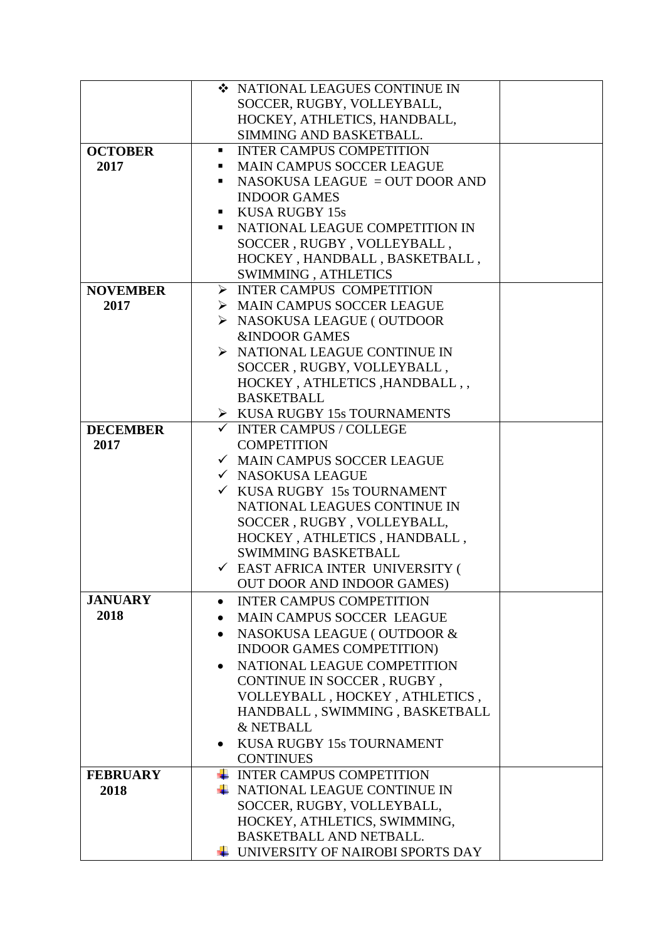| SOCCER, RUGBY, VOLLEYBALL,<br>HOCKEY, ATHLETICS, HANDBALL,<br>SIMMING AND BASKETBALL.<br><b>OCTOBER</b><br><b>INTER CAMPUS COMPETITION</b><br>п.<br>2017<br><b>MAIN CAMPUS SOCCER LEAGUE</b><br>NASOKUSA LEAGUE = OUT DOOR AND<br><b>INDOOR GAMES</b><br>KUSA RUGBY 15s<br>٠<br>NATIONAL LEAGUE COMPETITION IN<br>п.<br>SOCCER, RUGBY, VOLLEYBALL,<br>HOCKEY, HANDBALL, BASKETBALL,<br>SWIMMING, ATHLETICS<br>$\triangleright$ INTER CAMPUS COMPETITION<br><b>NOVEMBER</b><br>> MAIN CAMPUS SOCCER LEAGUE<br>2017<br>> NASOKUSA LEAGUE (OUTDOOR<br><b>&amp;INDOOR GAMES</b><br>$\triangleright$ NATIONAL LEAGUE CONTINUE IN<br>SOCCER, RUGBY, VOLLEYBALL,<br>HOCKEY, ATHLETICS, HANDBALL,<br><b>BASKETBALL</b><br>$\triangleright$ KUSA RUGBY 15s TOURNAMENTS<br><b>DECEMBER</b><br>$\checkmark$ INTER CAMPUS / COLLEGE<br>2017<br><b>COMPETITION</b><br>√ MAIN CAMPUS SOCCER LEAGUE<br>√ NASOKUSA LEAGUE<br>$\checkmark$ KUSA RUGBY 15s TOURNAMENT<br>NATIONAL LEAGUES CONTINUE IN<br>SOCCER, RUGBY, VOLLEYBALL,<br>HOCKEY, ATHLETICS, HANDBALL,<br><b>SWIMMING BASKETBALL</b><br><b>V EAST AFRICA INTER UNIVERSITY (</b><br>OUT DOOR AND INDOOR GAMES)<br><b>JANUARY</b><br><b>INTER CAMPUS COMPETITION</b><br>$\bullet$<br>2018<br>MAIN CAMPUS SOCCER LEAGUE<br>NASOKUSA LEAGUE (OUTDOOR &<br>$\bullet$<br>INDOOR GAMES COMPETITION)<br>NATIONAL LEAGUE COMPETITION<br>$\bullet$<br>CONTINUE IN SOCCER, RUGBY,<br>VOLLEYBALL, HOCKEY, ATHLETICS,<br>HANDBALL, SWIMMING, BASKETBALL<br><b>&amp; NETBALL</b><br>KUSA RUGBY 15s TOURNAMENT<br><b>CONTINUES</b><br>$\overline{\phantom{A}}$ INTER CAMPUS COMPETITION<br><b>FEBRUARY</b><br>$\overline{\phantom{A}}$ NATIONAL LEAGUE CONTINUE IN<br>2018 | ❖ NATIONAL LEAGUES CONTINUE IN |
|--------------------------------------------------------------------------------------------------------------------------------------------------------------------------------------------------------------------------------------------------------------------------------------------------------------------------------------------------------------------------------------------------------------------------------------------------------------------------------------------------------------------------------------------------------------------------------------------------------------------------------------------------------------------------------------------------------------------------------------------------------------------------------------------------------------------------------------------------------------------------------------------------------------------------------------------------------------------------------------------------------------------------------------------------------------------------------------------------------------------------------------------------------------------------------------------------------------------------------------------------------------------------------------------------------------------------------------------------------------------------------------------------------------------------------------------------------------------------------------------------------------------------------------------------------------------------------------------------------------------------------------------------------------------------------------------------------|--------------------------------|
|                                                                                                                                                                                                                                                                                                                                                                                                                                                                                                                                                                                                                                                                                                                                                                                                                                                                                                                                                                                                                                                                                                                                                                                                                                                                                                                                                                                                                                                                                                                                                                                                                                                                                                        |                                |
|                                                                                                                                                                                                                                                                                                                                                                                                                                                                                                                                                                                                                                                                                                                                                                                                                                                                                                                                                                                                                                                                                                                                                                                                                                                                                                                                                                                                                                                                                                                                                                                                                                                                                                        |                                |
|                                                                                                                                                                                                                                                                                                                                                                                                                                                                                                                                                                                                                                                                                                                                                                                                                                                                                                                                                                                                                                                                                                                                                                                                                                                                                                                                                                                                                                                                                                                                                                                                                                                                                                        |                                |
|                                                                                                                                                                                                                                                                                                                                                                                                                                                                                                                                                                                                                                                                                                                                                                                                                                                                                                                                                                                                                                                                                                                                                                                                                                                                                                                                                                                                                                                                                                                                                                                                                                                                                                        |                                |
|                                                                                                                                                                                                                                                                                                                                                                                                                                                                                                                                                                                                                                                                                                                                                                                                                                                                                                                                                                                                                                                                                                                                                                                                                                                                                                                                                                                                                                                                                                                                                                                                                                                                                                        |                                |
|                                                                                                                                                                                                                                                                                                                                                                                                                                                                                                                                                                                                                                                                                                                                                                                                                                                                                                                                                                                                                                                                                                                                                                                                                                                                                                                                                                                                                                                                                                                                                                                                                                                                                                        |                                |
|                                                                                                                                                                                                                                                                                                                                                                                                                                                                                                                                                                                                                                                                                                                                                                                                                                                                                                                                                                                                                                                                                                                                                                                                                                                                                                                                                                                                                                                                                                                                                                                                                                                                                                        |                                |
|                                                                                                                                                                                                                                                                                                                                                                                                                                                                                                                                                                                                                                                                                                                                                                                                                                                                                                                                                                                                                                                                                                                                                                                                                                                                                                                                                                                                                                                                                                                                                                                                                                                                                                        |                                |
|                                                                                                                                                                                                                                                                                                                                                                                                                                                                                                                                                                                                                                                                                                                                                                                                                                                                                                                                                                                                                                                                                                                                                                                                                                                                                                                                                                                                                                                                                                                                                                                                                                                                                                        |                                |
|                                                                                                                                                                                                                                                                                                                                                                                                                                                                                                                                                                                                                                                                                                                                                                                                                                                                                                                                                                                                                                                                                                                                                                                                                                                                                                                                                                                                                                                                                                                                                                                                                                                                                                        |                                |
|                                                                                                                                                                                                                                                                                                                                                                                                                                                                                                                                                                                                                                                                                                                                                                                                                                                                                                                                                                                                                                                                                                                                                                                                                                                                                                                                                                                                                                                                                                                                                                                                                                                                                                        |                                |
|                                                                                                                                                                                                                                                                                                                                                                                                                                                                                                                                                                                                                                                                                                                                                                                                                                                                                                                                                                                                                                                                                                                                                                                                                                                                                                                                                                                                                                                                                                                                                                                                                                                                                                        |                                |
|                                                                                                                                                                                                                                                                                                                                                                                                                                                                                                                                                                                                                                                                                                                                                                                                                                                                                                                                                                                                                                                                                                                                                                                                                                                                                                                                                                                                                                                                                                                                                                                                                                                                                                        |                                |
|                                                                                                                                                                                                                                                                                                                                                                                                                                                                                                                                                                                                                                                                                                                                                                                                                                                                                                                                                                                                                                                                                                                                                                                                                                                                                                                                                                                                                                                                                                                                                                                                                                                                                                        |                                |
|                                                                                                                                                                                                                                                                                                                                                                                                                                                                                                                                                                                                                                                                                                                                                                                                                                                                                                                                                                                                                                                                                                                                                                                                                                                                                                                                                                                                                                                                                                                                                                                                                                                                                                        |                                |
|                                                                                                                                                                                                                                                                                                                                                                                                                                                                                                                                                                                                                                                                                                                                                                                                                                                                                                                                                                                                                                                                                                                                                                                                                                                                                                                                                                                                                                                                                                                                                                                                                                                                                                        |                                |
|                                                                                                                                                                                                                                                                                                                                                                                                                                                                                                                                                                                                                                                                                                                                                                                                                                                                                                                                                                                                                                                                                                                                                                                                                                                                                                                                                                                                                                                                                                                                                                                                                                                                                                        |                                |
|                                                                                                                                                                                                                                                                                                                                                                                                                                                                                                                                                                                                                                                                                                                                                                                                                                                                                                                                                                                                                                                                                                                                                                                                                                                                                                                                                                                                                                                                                                                                                                                                                                                                                                        |                                |
|                                                                                                                                                                                                                                                                                                                                                                                                                                                                                                                                                                                                                                                                                                                                                                                                                                                                                                                                                                                                                                                                                                                                                                                                                                                                                                                                                                                                                                                                                                                                                                                                                                                                                                        |                                |
|                                                                                                                                                                                                                                                                                                                                                                                                                                                                                                                                                                                                                                                                                                                                                                                                                                                                                                                                                                                                                                                                                                                                                                                                                                                                                                                                                                                                                                                                                                                                                                                                                                                                                                        |                                |
|                                                                                                                                                                                                                                                                                                                                                                                                                                                                                                                                                                                                                                                                                                                                                                                                                                                                                                                                                                                                                                                                                                                                                                                                                                                                                                                                                                                                                                                                                                                                                                                                                                                                                                        |                                |
|                                                                                                                                                                                                                                                                                                                                                                                                                                                                                                                                                                                                                                                                                                                                                                                                                                                                                                                                                                                                                                                                                                                                                                                                                                                                                                                                                                                                                                                                                                                                                                                                                                                                                                        |                                |
|                                                                                                                                                                                                                                                                                                                                                                                                                                                                                                                                                                                                                                                                                                                                                                                                                                                                                                                                                                                                                                                                                                                                                                                                                                                                                                                                                                                                                                                                                                                                                                                                                                                                                                        |                                |
|                                                                                                                                                                                                                                                                                                                                                                                                                                                                                                                                                                                                                                                                                                                                                                                                                                                                                                                                                                                                                                                                                                                                                                                                                                                                                                                                                                                                                                                                                                                                                                                                                                                                                                        |                                |
|                                                                                                                                                                                                                                                                                                                                                                                                                                                                                                                                                                                                                                                                                                                                                                                                                                                                                                                                                                                                                                                                                                                                                                                                                                                                                                                                                                                                                                                                                                                                                                                                                                                                                                        |                                |
|                                                                                                                                                                                                                                                                                                                                                                                                                                                                                                                                                                                                                                                                                                                                                                                                                                                                                                                                                                                                                                                                                                                                                                                                                                                                                                                                                                                                                                                                                                                                                                                                                                                                                                        |                                |
|                                                                                                                                                                                                                                                                                                                                                                                                                                                                                                                                                                                                                                                                                                                                                                                                                                                                                                                                                                                                                                                                                                                                                                                                                                                                                                                                                                                                                                                                                                                                                                                                                                                                                                        |                                |
|                                                                                                                                                                                                                                                                                                                                                                                                                                                                                                                                                                                                                                                                                                                                                                                                                                                                                                                                                                                                                                                                                                                                                                                                                                                                                                                                                                                                                                                                                                                                                                                                                                                                                                        |                                |
|                                                                                                                                                                                                                                                                                                                                                                                                                                                                                                                                                                                                                                                                                                                                                                                                                                                                                                                                                                                                                                                                                                                                                                                                                                                                                                                                                                                                                                                                                                                                                                                                                                                                                                        |                                |
|                                                                                                                                                                                                                                                                                                                                                                                                                                                                                                                                                                                                                                                                                                                                                                                                                                                                                                                                                                                                                                                                                                                                                                                                                                                                                                                                                                                                                                                                                                                                                                                                                                                                                                        |                                |
|                                                                                                                                                                                                                                                                                                                                                                                                                                                                                                                                                                                                                                                                                                                                                                                                                                                                                                                                                                                                                                                                                                                                                                                                                                                                                                                                                                                                                                                                                                                                                                                                                                                                                                        |                                |
|                                                                                                                                                                                                                                                                                                                                                                                                                                                                                                                                                                                                                                                                                                                                                                                                                                                                                                                                                                                                                                                                                                                                                                                                                                                                                                                                                                                                                                                                                                                                                                                                                                                                                                        |                                |
|                                                                                                                                                                                                                                                                                                                                                                                                                                                                                                                                                                                                                                                                                                                                                                                                                                                                                                                                                                                                                                                                                                                                                                                                                                                                                                                                                                                                                                                                                                                                                                                                                                                                                                        |                                |
|                                                                                                                                                                                                                                                                                                                                                                                                                                                                                                                                                                                                                                                                                                                                                                                                                                                                                                                                                                                                                                                                                                                                                                                                                                                                                                                                                                                                                                                                                                                                                                                                                                                                                                        |                                |
|                                                                                                                                                                                                                                                                                                                                                                                                                                                                                                                                                                                                                                                                                                                                                                                                                                                                                                                                                                                                                                                                                                                                                                                                                                                                                                                                                                                                                                                                                                                                                                                                                                                                                                        |                                |
|                                                                                                                                                                                                                                                                                                                                                                                                                                                                                                                                                                                                                                                                                                                                                                                                                                                                                                                                                                                                                                                                                                                                                                                                                                                                                                                                                                                                                                                                                                                                                                                                                                                                                                        |                                |
|                                                                                                                                                                                                                                                                                                                                                                                                                                                                                                                                                                                                                                                                                                                                                                                                                                                                                                                                                                                                                                                                                                                                                                                                                                                                                                                                                                                                                                                                                                                                                                                                                                                                                                        |                                |
|                                                                                                                                                                                                                                                                                                                                                                                                                                                                                                                                                                                                                                                                                                                                                                                                                                                                                                                                                                                                                                                                                                                                                                                                                                                                                                                                                                                                                                                                                                                                                                                                                                                                                                        |                                |
|                                                                                                                                                                                                                                                                                                                                                                                                                                                                                                                                                                                                                                                                                                                                                                                                                                                                                                                                                                                                                                                                                                                                                                                                                                                                                                                                                                                                                                                                                                                                                                                                                                                                                                        |                                |
|                                                                                                                                                                                                                                                                                                                                                                                                                                                                                                                                                                                                                                                                                                                                                                                                                                                                                                                                                                                                                                                                                                                                                                                                                                                                                                                                                                                                                                                                                                                                                                                                                                                                                                        |                                |
|                                                                                                                                                                                                                                                                                                                                                                                                                                                                                                                                                                                                                                                                                                                                                                                                                                                                                                                                                                                                                                                                                                                                                                                                                                                                                                                                                                                                                                                                                                                                                                                                                                                                                                        |                                |
|                                                                                                                                                                                                                                                                                                                                                                                                                                                                                                                                                                                                                                                                                                                                                                                                                                                                                                                                                                                                                                                                                                                                                                                                                                                                                                                                                                                                                                                                                                                                                                                                                                                                                                        |                                |
|                                                                                                                                                                                                                                                                                                                                                                                                                                                                                                                                                                                                                                                                                                                                                                                                                                                                                                                                                                                                                                                                                                                                                                                                                                                                                                                                                                                                                                                                                                                                                                                                                                                                                                        |                                |
|                                                                                                                                                                                                                                                                                                                                                                                                                                                                                                                                                                                                                                                                                                                                                                                                                                                                                                                                                                                                                                                                                                                                                                                                                                                                                                                                                                                                                                                                                                                                                                                                                                                                                                        |                                |
|                                                                                                                                                                                                                                                                                                                                                                                                                                                                                                                                                                                                                                                                                                                                                                                                                                                                                                                                                                                                                                                                                                                                                                                                                                                                                                                                                                                                                                                                                                                                                                                                                                                                                                        |                                |
| SOCCER, RUGBY, VOLLEYBALL,                                                                                                                                                                                                                                                                                                                                                                                                                                                                                                                                                                                                                                                                                                                                                                                                                                                                                                                                                                                                                                                                                                                                                                                                                                                                                                                                                                                                                                                                                                                                                                                                                                                                             |                                |
| HOCKEY, ATHLETICS, SWIMMING,                                                                                                                                                                                                                                                                                                                                                                                                                                                                                                                                                                                                                                                                                                                                                                                                                                                                                                                                                                                                                                                                                                                                                                                                                                                                                                                                                                                                                                                                                                                                                                                                                                                                           |                                |
| <b>BASKETBALL AND NETBALL.</b>                                                                                                                                                                                                                                                                                                                                                                                                                                                                                                                                                                                                                                                                                                                                                                                                                                                                                                                                                                                                                                                                                                                                                                                                                                                                                                                                                                                                                                                                                                                                                                                                                                                                         |                                |
| UNIVERSITY OF NAIROBI SPORTS DAY                                                                                                                                                                                                                                                                                                                                                                                                                                                                                                                                                                                                                                                                                                                                                                                                                                                                                                                                                                                                                                                                                                                                                                                                                                                                                                                                                                                                                                                                                                                                                                                                                                                                       |                                |